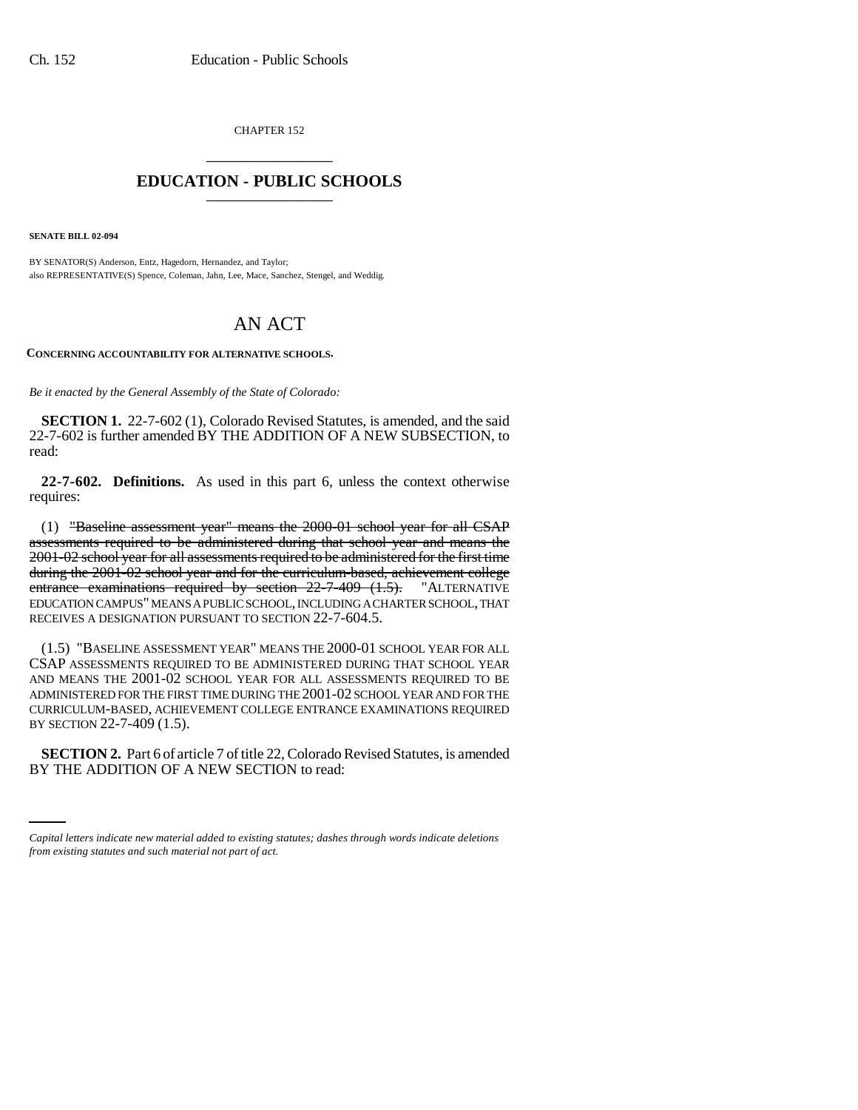CHAPTER 152 \_\_\_\_\_\_\_\_\_\_\_\_\_\_\_

## **EDUCATION - PUBLIC SCHOOLS** \_\_\_\_\_\_\_\_\_\_\_\_\_\_\_

**SENATE BILL 02-094**

BY SENATOR(S) Anderson, Entz, Hagedorn, Hernandez, and Taylor; also REPRESENTATIVE(S) Spence, Coleman, Jahn, Lee, Mace, Sanchez, Stengel, and Weddig.

## AN ACT

**CONCERNING ACCOUNTABILITY FOR ALTERNATIVE SCHOOLS.**

*Be it enacted by the General Assembly of the State of Colorado:*

**SECTION 1.** 22-7-602 (1), Colorado Revised Statutes, is amended, and the said 22-7-602 is further amended BY THE ADDITION OF A NEW SUBSECTION, to read:

**22-7-602. Definitions.** As used in this part 6, unless the context otherwise requires:

(1) "Baseline assessment year" means the 2000-01 school year for all CSAP assessments required to be administered during that school year and means the 2001-02 school year for all assessments required to be administered for the first time during the 2001-02 school year and for the curriculum-based, achievement college entrance examinations required by section 22-7-409 (1.5). "ALTERNATIVE EDUCATION CAMPUS" MEANS A PUBLIC SCHOOL, INCLUDING A CHARTER SCHOOL, THAT RECEIVES A DESIGNATION PURSUANT TO SECTION 22-7-604.5.

(1.5) "BASELINE ASSESSMENT YEAR" MEANS THE 2000-01 SCHOOL YEAR FOR ALL CSAP ASSESSMENTS REQUIRED TO BE ADMINISTERED DURING THAT SCHOOL YEAR AND MEANS THE 2001-02 SCHOOL YEAR FOR ALL ASSESSMENTS REQUIRED TO BE ADMINISTERED FOR THE FIRST TIME DURING THE 2001-02 SCHOOL YEAR AND FOR THE CURRICULUM-BASED, ACHIEVEMENT COLLEGE ENTRANCE EXAMINATIONS REQUIRED BY SECTION 22-7-409 (1.5).

 **SECTION 2.** Part 6 of article 7 of title 22, Colorado Revised Statutes, is amended BY THE ADDITION OF A NEW SECTION to read:

*Capital letters indicate new material added to existing statutes; dashes through words indicate deletions from existing statutes and such material not part of act.*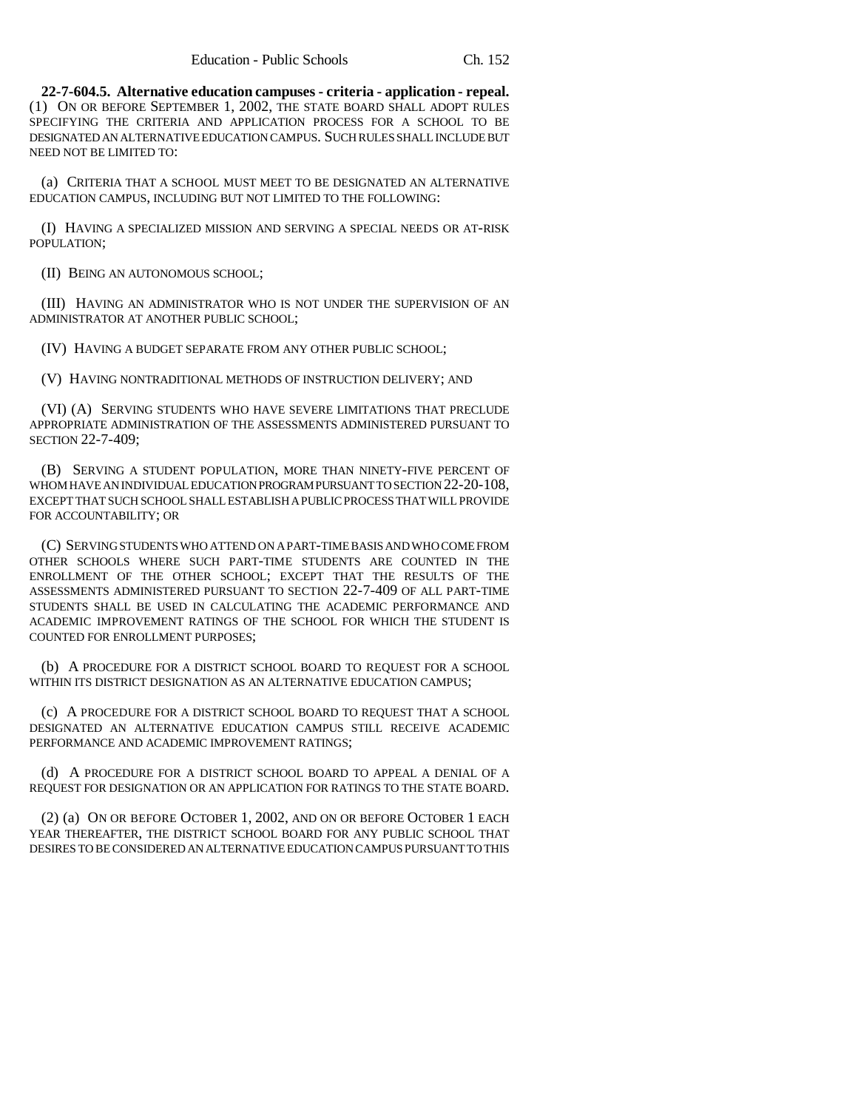**22-7-604.5. Alternative education campuses - criteria - application - repeal.** (1) ON OR BEFORE SEPTEMBER 1, 2002, THE STATE BOARD SHALL ADOPT RULES SPECIFYING THE CRITERIA AND APPLICATION PROCESS FOR A SCHOOL TO BE DESIGNATED AN ALTERNATIVE EDUCATION CAMPUS. SUCH RULES SHALL INCLUDE BUT NEED NOT BE LIMITED TO:

(a) CRITERIA THAT A SCHOOL MUST MEET TO BE DESIGNATED AN ALTERNATIVE EDUCATION CAMPUS, INCLUDING BUT NOT LIMITED TO THE FOLLOWING:

(I) HAVING A SPECIALIZED MISSION AND SERVING A SPECIAL NEEDS OR AT-RISK POPULATION;

(II) BEING AN AUTONOMOUS SCHOOL;

(III) HAVING AN ADMINISTRATOR WHO IS NOT UNDER THE SUPERVISION OF AN ADMINISTRATOR AT ANOTHER PUBLIC SCHOOL;

(IV) HAVING A BUDGET SEPARATE FROM ANY OTHER PUBLIC SCHOOL;

(V) HAVING NONTRADITIONAL METHODS OF INSTRUCTION DELIVERY; AND

(VI) (A) SERVING STUDENTS WHO HAVE SEVERE LIMITATIONS THAT PRECLUDE APPROPRIATE ADMINISTRATION OF THE ASSESSMENTS ADMINISTERED PURSUANT TO SECTION 22-7-409;

(B) SERVING A STUDENT POPULATION, MORE THAN NINETY-FIVE PERCENT OF WHOM HAVE AN INDIVIDUAL EDUCATION PROGRAM PURSUANT TO SECTION 22-20-108, EXCEPT THAT SUCH SCHOOL SHALL ESTABLISH A PUBLIC PROCESS THAT WILL PROVIDE FOR ACCOUNTABILITY; OR

(C) SERVING STUDENTS WHO ATTEND ON A PART-TIME BASIS AND WHO COME FROM OTHER SCHOOLS WHERE SUCH PART-TIME STUDENTS ARE COUNTED IN THE ENROLLMENT OF THE OTHER SCHOOL; EXCEPT THAT THE RESULTS OF THE ASSESSMENTS ADMINISTERED PURSUANT TO SECTION 22-7-409 OF ALL PART-TIME STUDENTS SHALL BE USED IN CALCULATING THE ACADEMIC PERFORMANCE AND ACADEMIC IMPROVEMENT RATINGS OF THE SCHOOL FOR WHICH THE STUDENT IS COUNTED FOR ENROLLMENT PURPOSES;

(b) A PROCEDURE FOR A DISTRICT SCHOOL BOARD TO REQUEST FOR A SCHOOL WITHIN ITS DISTRICT DESIGNATION AS AN ALTERNATIVE EDUCATION CAMPUS;

(c) A PROCEDURE FOR A DISTRICT SCHOOL BOARD TO REQUEST THAT A SCHOOL DESIGNATED AN ALTERNATIVE EDUCATION CAMPUS STILL RECEIVE ACADEMIC PERFORMANCE AND ACADEMIC IMPROVEMENT RATINGS;

(d) A PROCEDURE FOR A DISTRICT SCHOOL BOARD TO APPEAL A DENIAL OF A REQUEST FOR DESIGNATION OR AN APPLICATION FOR RATINGS TO THE STATE BOARD.

(2) (a) ON OR BEFORE OCTOBER 1, 2002, AND ON OR BEFORE OCTOBER 1 EACH YEAR THEREAFTER, THE DISTRICT SCHOOL BOARD FOR ANY PUBLIC SCHOOL THAT DESIRES TO BE CONSIDERED AN ALTERNATIVE EDUCATION CAMPUS PURSUANT TO THIS